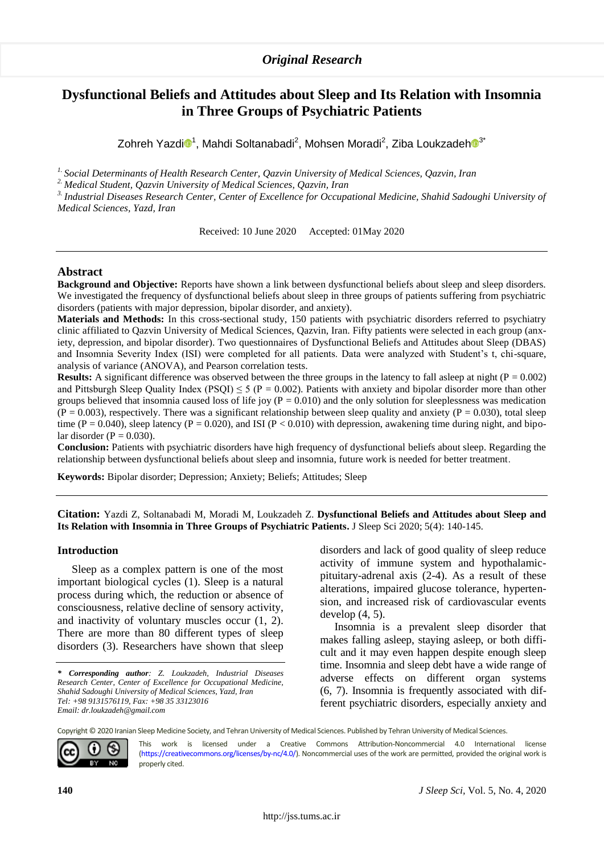# **Dysfunctional Beliefs and Attitudes about Sleep and Its Relation with Insomnia in Three Groups of Psychiatric Patients**

Zohreh Yazd[i](https://orcid.org/0000-0002-7262-5099) $\mathbf{0}^1$ , Mahdi Soltanabadi<sup>2</sup>, Mohsen Moradi<sup>2</sup>, Ziba Loukzadeh $\mathbf{0}^3$  $\mathbf{0}^3$ 

*1. Social Determinants of Health Research Center, Qazvin University of Medical Sciences, Qazvin, Iran*

*2. Medical Student, Qazvin University of Medical Sciences, Qazvin, Iran*

*3. Industrial Diseases Research Center, Center of Excellence for Occupational Medicine, Shahid Sadoughi University of Medical Sciences, Yazd, Iran*

Received: 10 June 2020 Accepted: 01May 2020

# **Abstract**

**Background and Objective:** Reports have shown a link between dysfunctional beliefs about sleep and sleep disorders. We investigated the frequency of dysfunctional beliefs about sleep in three groups of patients suffering from psychiatric disorders (patients with major depression, bipolar disorder, and anxiety).

**Materials and Methods:** In this cross-sectional study, 150 patients with psychiatric disorders referred to psychiatry clinic affiliated to Qazvin University of Medical Sciences, Qazvin, Iran. Fifty patients were selected in each group (anxiety, depression, and bipolar disorder). Two questionnaires of Dysfunctional Beliefs and Attitudes about Sleep (DBAS) and Insomnia Severity Index (ISI) were completed for all patients. Data were analyzed with Student's t, chi-square, analysis of variance (ANOVA), and Pearson correlation tests.

**Results:** A significant difference was observed between the three groups in the latency to fall asleep at night  $(P = 0.002)$ and Pittsburgh Sleep Quality Index (PSQI)  $\leq$  5 (P = 0.002). Patients with anxiety and bipolar disorder more than other groups believed that insomnia caused loss of life joy ( $P = 0.010$ ) and the only solution for sleeplessness was medication  $(P = 0.003)$ , respectively. There was a significant relationship between sleep quality and anxiety  $(P = 0.030)$ , total sleep time (P = 0.040), sleep latency (P = 0.020), and ISI (P < 0.010) with depression, awakening time during night, and bipolar disorder ( $P = 0.030$ ).

**Conclusion:** Patients with psychiatric disorders have high frequency of dysfunctional beliefs about sleep. Regarding the relationship between dysfunctional beliefs about sleep and insomnia, future work is needed for better treatment.

**Keywords:** Bipolar disorder; Depression; Anxiety; Beliefs; Attitudes; Sleep

**Citation:** Yazdi Z, Soltanabadi M, Moradi M, Loukzadeh Z. **Dysfunctional Beliefs and Attitudes about Sleep and Its Relation with Insomnia in Three Groups of Psychiatric Patients.** J Sleep Sci 2020; 5(4): 140-145.

### **Introduction**

Sleep as a complex pattern is one of the most important biological cycles (1). Sleep is a natural process during which, the reduction or absence of consciousness, relative decline of sensory activity, and inactivity of voluntary muscles occur (1, 2). There are more than 80 different types of sleep disorders (3). Researchers have shown that sleep disorders and lack of good quality of sleep reduce activity of immune system and hypothalamicpituitary-adrenal axis (2-4). As a result of these alterations, impaired glucose tolerance, hypertension, and increased risk of cardiovascular events develop (4, 5).

Insomnia is a prevalent sleep disorder that makes falling asleep, staying asleep, or both difficult and it may even happen despite enough sleep time. Insomnia and sleep debt have a wide range of adverse effects on different organ systems (6, 7). Insomnia is frequently associated with different psychiatric disorders, especially anxiety and

Copyright © 2020 Iranian Sleep Medicine Society, and Tehran University of Medical Sciences. Published by Tehran University of Medical Sciences.



This work is licensed under a Creative Commons Attribution-Noncommercial 4.0 International license [\(https://creativecommons.org/licenses/by-nc/4.0/\).](https://creativecommons.org/licenses/by-nc/4.0/) Noncommercial uses of the work are permitted, provided the original work is properly cited.

*<sup>\*</sup>* 1*Corresponding author: Z. Loukzadeh, Industrial Diseases Research Center, Center of Excellence for Occupational Medicine, Shahid Sadoughi University of Medical Sciences, Yazd, Iran Tel: +98 9131576119, Fax: +98 35 33123016 Email: dr.loukzadeh@gmail.com*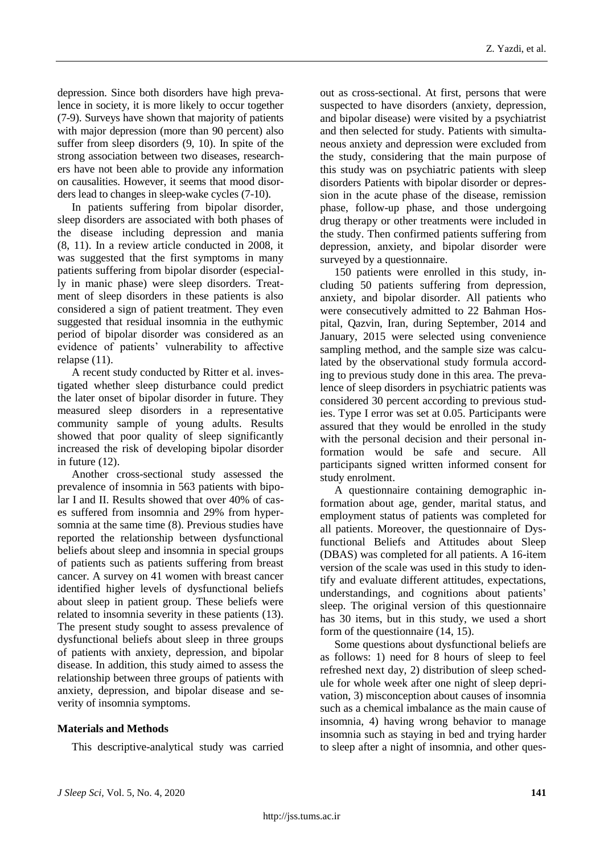depression. Since both disorders have high prevalence in society, it is more likely to occur together (7-9). Surveys have shown that majority of patients with major depression (more than 90 percent) also suffer from sleep disorders (9, 10). In spite of the strong association between two diseases, researchers have not been able to provide any information on causalities. However, it seems that mood disorders lead to changes in sleep-wake cycles (7-10).

In patients suffering from bipolar disorder, sleep disorders are associated with both phases of the disease including depression and mania (8, 11). In a review article conducted in 2008, it was suggested that the first symptoms in many patients suffering from bipolar disorder (especially in manic phase) were sleep disorders. Treatment of sleep disorders in these patients is also considered a sign of patient treatment. They even suggested that residual insomnia in the euthymic period of bipolar disorder was considered as an evidence of patients' vulnerability to affective relapse (11).

A recent study conducted by Ritter et al. investigated whether sleep disturbance could predict the later onset of bipolar disorder in future. They measured sleep disorders in a representative community sample of young adults. Results showed that poor quality of sleep significantly increased the risk of developing bipolar disorder in future (12).

Another cross-sectional study assessed the prevalence of insomnia in 563 patients with bipolar I and II. Results showed that over 40% of cases suffered from insomnia and 29% from hypersomnia at the same time (8). Previous studies have reported the relationship between dysfunctional beliefs about sleep and insomnia in special groups of patients such as patients suffering from breast cancer. A survey on 41 women with breast cancer identified higher levels of dysfunctional beliefs about sleep in patient group. These beliefs were related to insomnia severity in these patients (13). The present study sought to assess prevalence of dysfunctional beliefs about sleep in three groups of patients with anxiety, depression, and bipolar disease. In addition, this study aimed to assess the relationship between three groups of patients with anxiety, depression, and bipolar disease and severity of insomnia symptoms.

# **Materials and Methods**

This descriptive-analytical study was carried

out as cross-sectional. At first, persons that were suspected to have disorders (anxiety, depression, and bipolar disease) were visited by a psychiatrist and then selected for study. Patients with simultaneous anxiety and depression were excluded from the study, considering that the main purpose of this study was on psychiatric patients with sleep disorders Patients with bipolar disorder or depression in the acute phase of the disease, remission phase, follow-up phase, and those undergoing drug therapy or other treatments were included in the study. Then confirmed patients suffering from depression, anxiety, and bipolar disorder were surveyed by a questionnaire.

150 patients were enrolled in this study, including 50 patients suffering from depression, anxiety, and bipolar disorder. All patients who were consecutively admitted to 22 Bahman Hospital, Qazvin, Iran, during September, 2014 and January, 2015 were selected using convenience sampling method, and the sample size was calculated by the observational study formula according to previous study done in this area. The prevalence of sleep disorders in psychiatric patients was considered 30 percent according to previous studies. Type I error was set at 0.05. Participants were assured that they would be enrolled in the study with the personal decision and their personal information would be safe and secure. All participants signed written informed consent for study enrolment.

A questionnaire containing demographic information about age, gender, marital status, and employment status of patients was completed for all patients. Moreover, the questionnaire of Dysfunctional Beliefs and Attitudes about Sleep (DBAS) was completed for all patients. A 16-item version of the scale was used in this study to identify and evaluate different attitudes, expectations, understandings, and cognitions about patients' sleep. The original version of this questionnaire has 30 items, but in this study, we used a short form of the questionnaire (14, 15).

Some questions about dysfunctional beliefs are as follows: 1) need for 8 hours of sleep to feel refreshed next day, 2) distribution of sleep schedule for whole week after one night of sleep deprivation, 3) misconception about causes of insomnia such as a chemical imbalance as the main cause of insomnia, 4) having wrong behavior to manage insomnia such as staying in bed and trying harder to sleep after a night of insomnia, and other ques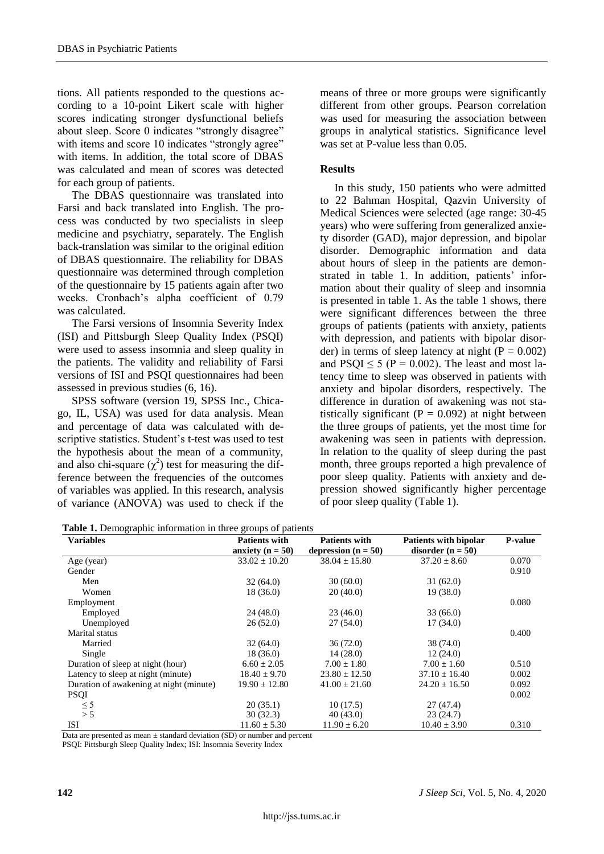tions. All patients responded to the questions according to a 10-point Likert scale with higher scores indicating stronger dysfunctional beliefs about sleep. Score 0 indicates "strongly disagree" with items and score 10 indicates "strongly agree" with items. In addition, the total score of DBAS was calculated and mean of scores was detected for each group of patients.

The DBAS questionnaire was translated into Farsi and back translated into English. The process was conducted by two specialists in sleep medicine and psychiatry, separately. The English back-translation was similar to the original edition of DBAS questionnaire. The reliability for DBAS questionnaire was determined through completion of the questionnaire by 15 patients again after two weeks. Cronbach's alpha coefficient of 0.79 was calculated.

The Farsi versions of Insomnia Severity Index (ISI) and Pittsburgh Sleep Quality Index (PSQI) were used to assess insomnia and sleep quality in the patients. The validity and reliability of Farsi versions of ISI and PSQI questionnaires had been assessed in previous studies (6, 16).

SPSS software (version 19, SPSS Inc., Chicago, IL, USA) was used for data analysis. Mean and percentage of data was calculated with descriptive statistics. Student's t-test was used to test the hypothesis about the mean of a community, and also chi-square  $(\chi^2)$  test for measuring the difference between the frequencies of the outcomes of variables was applied. In this research, analysis of variance (ANOVA) was used to check if the

means of three or more groups were significantly different from other groups. Pearson correlation was used for measuring the association between groups in analytical statistics. Significance level was set at P-value less than 0.05.

# **Results**

In this study, 150 patients who were admitted to 22 Bahman Hospital, Qazvin University of Medical Sciences were selected (age range: 30-45 years) who were suffering from generalized anxiety disorder (GAD), major depression, and bipolar disorder. Demographic information and data about hours of sleep in the patients are demonstrated in table 1. In addition, patients' information about their quality of sleep and insomnia is presented in table 1. As the table 1 shows, there were significant differences between the three groups of patients (patients with anxiety, patients with depression, and patients with bipolar disorder) in terms of sleep latency at night ( $P = 0.002$ ) and  $PSQI \le 5$  (P = 0.002). The least and most latency time to sleep was observed in patients with anxiety and bipolar disorders, respectively. The difference in duration of awakening was not statistically significant ( $P = 0.092$ ) at night between the three groups of patients, yet the most time for awakening was seen in patients with depression. In relation to the quality of sleep during the past month, three groups reported a high prevalence of poor sleep quality. Patients with anxiety and depression showed significantly higher percentage of poor sleep quality (Table 1).

| Table 1. Demographic information in three groups of patients |  |  |
|--------------------------------------------------------------|--|--|
|                                                              |  |  |

| <b>Variables</b>                        | <b>Patients with</b> | <b>Patients with</b>  | <b>Patients with bipolar</b> | <b>P-value</b> |
|-----------------------------------------|----------------------|-----------------------|------------------------------|----------------|
|                                         | anxiety ( $n = 50$ ) | depression $(n = 50)$ | disorder ( $n = 50$ )        |                |
| Age (year)                              | $33.02 \pm 10.20$    | $38.04 \pm 15.80$     | $37.20 \pm 8.60$             | 0.070          |
| Gender                                  |                      |                       |                              | 0.910          |
| Men                                     | 32(64.0)             | 30(60.0)              | 31(62.0)                     |                |
| Women                                   | 18(36.0)             | 20(40.0)              | 19(38.0)                     |                |
| Employment                              |                      |                       |                              | 0.080          |
| Employed                                | 24(48.0)             | 23(46.0)              | 33 (66.0)                    |                |
| Unemployed                              | 26(52.0)             | 27(54.0)              | 17(34.0)                     |                |
| Marital status                          |                      |                       |                              | 0.400          |
| Married                                 | 32 (64.0)            | 36(72.0)              | 38 (74.0)                    |                |
| Single                                  | 18 (36.0)            | 14(28.0)              | 12(24.0)                     |                |
| Duration of sleep at night (hour)       | $6.60 \pm 2.05$      | $7.00 \pm 1.80$       | $7.00 \pm 1.60$              | 0.510          |
| Latency to sleep at night (minute)      | $18.40 \pm 9.70$     | $23.80 \pm 12.50$     | $37.10 \pm 16.40$            | 0.002          |
| Duration of awakening at night (minute) | $19.90 \pm 12.80$    | $41.00 \pm 21.60$     | $24.20 \pm 16.50$            | 0.092          |
| <b>PSQI</b>                             |                      |                       |                              | 0.002          |
| $\leq$ 5                                | 20(35.1)             | 10(17.5)              | 27(47.4)                     |                |
| > 5                                     | 30(32.3)             | 40(43.0)              | 23(24.7)                     |                |
| ISI                                     | $11.60 \pm 5.30$     | $11.90 \pm 6.20$      | $10.40 \pm 3.90$             | 0.310          |

Data are presented as mean + standard deviation (SD) or number and percent

PSQI: Pittsburgh Sleep Quality Index; ISI: Insomnia Severity Index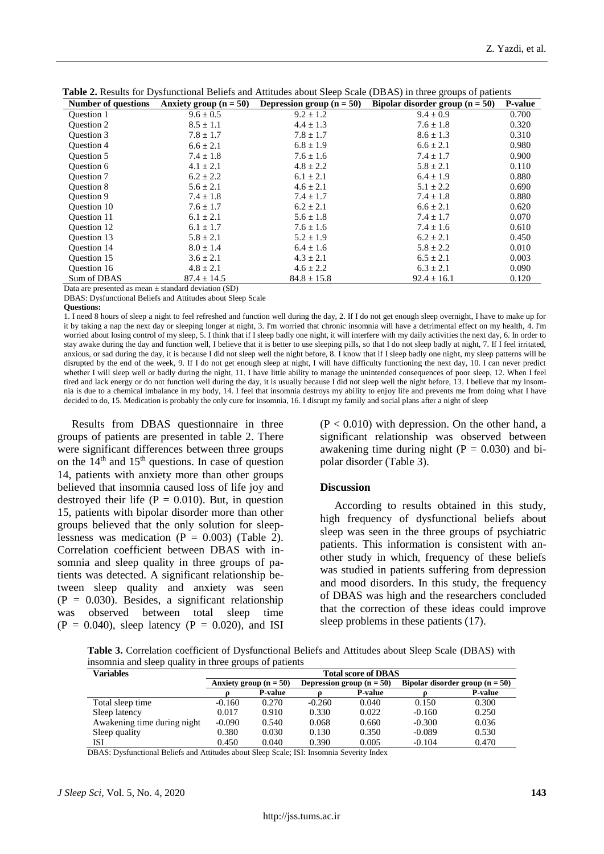| <b>Number of questions</b> | Anxiety group $(n = 50)$ | Depression group $(n = 50)$ | Bipolar disorder group $(n = 50)$ | P-value |
|----------------------------|--------------------------|-----------------------------|-----------------------------------|---------|
| <b>Ouestion 1</b>          | $9.6 \pm 0.5$            | $9.2 \pm 1.2$               | $9.4 \pm 0.9$                     | 0.700   |
| <b>Ouestion 2</b>          | $8.5 \pm 1.1$            | $4.4 \pm 1.3$               | $7.6 \pm 1.8$                     | 0.320   |
| Question 3                 | $7.8 \pm 1.7$            | $7.8 \pm 1.7$               | $8.6 \pm 1.3$                     | 0.310   |
| Question 4                 | $6.6 \pm 2.1$            | $6.8 \pm 1.9$               | $6.6 \pm 2.1$                     | 0.980   |
| <b>Ouestion 5</b>          | $7.4 \pm 1.8$            | $7.6 \pm 1.6$               | $7.4 \pm 1.7$                     | 0.900   |
| Question 6                 | $4.1 \pm 2.1$            | $4.8 \pm 2.2$               | $5.8 \pm 2.1$                     | 0.110   |
| <b>Ouestion 7</b>          | $6.2 \pm 2.2$            | $6.1 \pm 2.1$               | $6.4 \pm 1.9$                     | 0.880   |
| <b>Ouestion 8</b>          | $5.6 \pm 2.1$            | $4.6 \pm 2.1$               | $5.1 \pm 2.2$                     | 0.690   |
| Question 9                 | $7.4 \pm 1.8$            | $7.4 \pm 1.7$               | $7.4 \pm 1.8$                     | 0.880   |
| <b>Ouestion 10</b>         | $7.6 \pm 1.7$            | $6.2 \pm 2.1$               | $6.6 \pm 2.1$                     | 0.620   |
| <b>Ouestion 11</b>         | $6.1 \pm 2.1$            | $5.6 \pm 1.8$               | $7.4 \pm 1.7$                     | 0.070   |
| <b>Ouestion 12</b>         | $6.1 \pm 1.7$            | $7.6 \pm 1.6$               | $7.4 \pm 1.6$                     | 0.610   |
| <b>Ouestion 13</b>         | $5.8 \pm 2.1$            | $5.2 \pm 1.9$               | $6.2 \pm 2.1$                     | 0.450   |
| <b>Ouestion 14</b>         | $8.0 \pm 1.4$            | $6.4 \pm 1.6$               | $5.8 \pm 2.2$                     | 0.010   |
| <b>Ouestion 15</b>         | $3.6 \pm 2.1$            | $4.3 \pm 2.1$               | $6.5 \pm 2.1$                     | 0.003   |
| <b>Ouestion 16</b>         | $4.8 \pm 2.1$            | $4.6 \pm 2.2$               | $6.3 \pm 2.1$                     | 0.090   |
| Sum of DBAS                | $87.4 \pm 14.5$          | $84.8 \pm 15.8$             | $92.4 \pm 16.1$                   | 0.120   |

**Table 2.** Results for Dysfunctional Beliefs and Attitudes about Sleep Scale (DBAS) in three groups of patients

Data are presented as mean  $\pm$  standard deviation (SD)

DBAS: Dysfunctional Beliefs and Attitudes about Sleep Scale

**Questions:**

1. I need 8 hours of sleep a night to feel refreshed and function well during the day, 2. If I do not get enough sleep overnight, I have to make up for it by taking a nap the next day or sleeping longer at night, 3. I'm worried that chronic insomnia will have a detrimental effect on my health, 4. I'm worried about losing control of my sleep, 5. I think that if I sleep badly one night, it will interfere with my daily activities the next day, 6. In order to stay awake during the day and function well, I believe that it is better to use sleeping pills, so that I do not sleep badly at night, 7. If I feel irritated, anxious, or sad during the day, it is because I did not sleep well the night before, 8. I know that if I sleep badly one night, my sleep patterns will be disrupted by the end of the week, 9. If I do not get enough sleep at night, I will have difficulty functioning the next day, 10. I can never predict whether I will sleep well or badly during the night, 11. I have little ability to manage the unintended consequences of poor sleep, 12. When I feel tired and lack energy or do not function well during the day, it is usually because I did not sleep well the night before, 13. I believe that my insomnia is due to a chemical imbalance in my body, 14. I feel that insomnia destroys my ability to enjoy life and prevents me from doing what I have decided to do, 15. Medication is probably the only cure for insomnia, 16. I disrupt my family and social plans after a night of sleep

Results from DBAS questionnaire in three groups of patients are presented in table 2. There were significant differences between three groups on the  $14<sup>th</sup>$  and  $15<sup>th</sup>$  questions. In case of question 14, patients with anxiety more than other groups believed that insomnia caused loss of life joy and destroyed their life ( $P = 0.010$ ). But, in question 15, patients with bipolar disorder more than other groups believed that the only solution for sleeplessness was medication ( $P = 0.003$ ) (Table 2). Correlation coefficient between DBAS with insomnia and sleep quality in three groups of patients was detected. A significant relationship between sleep quality and anxiety was seen  $(P = 0.030)$ . Besides, a significant relationship was observed between total sleep time  $(P = 0.040)$ , sleep latency  $(P = 0.020)$ , and ISI

 $(P < 0.010)$  with depression. On the other hand, a significant relationship was observed between awakening time during night  $(P = 0.030)$  and bipolar disorder (Table 3).

#### **Discussion**

According to results obtained in this study, high frequency of dysfunctional beliefs about sleep was seen in the three groups of psychiatric patients. This information is consistent with another study in which, frequency of these beliefs was studied in patients suffering from depression and mood disorders. In this study, the frequency of DBAS was high and the researchers concluded that the correction of these ideas could improve sleep problems in these patients (17).

**Table 3.** Correlation coefficient of Dysfunctional Beliefs and Attitudes about Sleep Scale (DBAS) with insomnia and sleep quality in three groups of patients

| Variables                   | <b>Total score of DBAS</b> |                |                             |                |                                   |                |
|-----------------------------|----------------------------|----------------|-----------------------------|----------------|-----------------------------------|----------------|
|                             | Anxiety group $(n = 50)$   |                | Depression group $(n = 50)$ |                | Bipolar disorder group $(n = 50)$ |                |
|                             |                            | <b>P-value</b> |                             | <b>P-value</b> |                                   | <b>P-value</b> |
| Total sleep time            | $-0.160$                   | 0.270          | $-0.260$                    | 0.040          | 0.150                             | 0.300          |
| Sleep latency               | 0.017                      | 0.910          | 0.330                       | 0.022          | $-0.160$                          | 0.250          |
| Awakening time during night | $-0.090$                   | 0.540          | 0.068                       | 0.660          | $-0.300$                          | 0.036          |
| Sleep quality               | 0.380                      | 0.030          | 0.130                       | 0.350          | $-0.089$                          | 0.530          |
| ISI                         | 0.450                      | 0.040          | 0.390                       | 0.005          | $-0.104$                          | 0.470          |

DBAS: Dysfunctional Beliefs and Attitudes about Sleep Scale; ISI: Insomnia Severity Index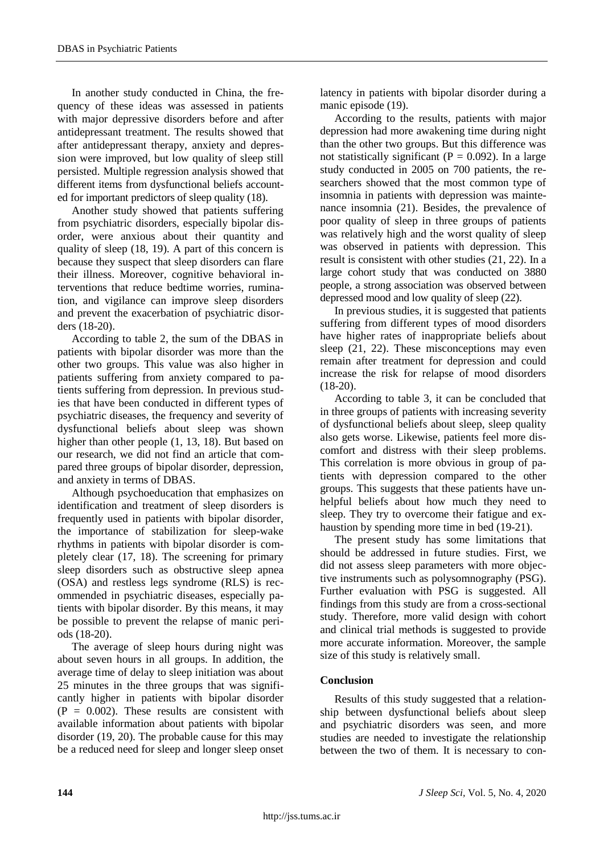In another study conducted in China, the frequency of these ideas was assessed in patients with major depressive disorders before and after antidepressant treatment. The results showed that after antidepressant therapy, anxiety and depression were improved, but low quality of sleep still persisted. Multiple regression analysis showed that different items from dysfunctional beliefs accounted for important predictors of sleep quality (18).

Another study showed that patients suffering from psychiatric disorders, especially bipolar disorder, were anxious about their quantity and quality of sleep (18, 19). A part of this concern is because they suspect that sleep disorders can flare their illness. Moreover, cognitive behavioral interventions that reduce bedtime worries, rumination, and vigilance can improve sleep disorders and prevent the exacerbation of psychiatric disorders (18-20).

According to table 2, the sum of the DBAS in patients with bipolar disorder was more than the other two groups. This value was also higher in patients suffering from anxiety compared to patients suffering from depression. In previous studies that have been conducted in different types of psychiatric diseases, the frequency and severity of dysfunctional beliefs about sleep was shown higher than other people  $(1, 13, 18)$ . But based on our research, we did not find an article that compared three groups of bipolar disorder, depression, and anxiety in terms of DBAS.

Although psychoeducation that emphasizes on identification and treatment of sleep disorders is frequently used in patients with bipolar disorder, the importance of stabilization for sleep-wake rhythms in patients with bipolar disorder is completely clear (17, 18). The screening for primary sleep disorders such as obstructive sleep apnea (OSA) and restless legs syndrome (RLS) is recommended in psychiatric diseases, especially patients with bipolar disorder. By this means, it may be possible to prevent the relapse of manic periods (18-20).

The average of sleep hours during night was about seven hours in all groups. In addition, the average time of delay to sleep initiation was about 25 minutes in the three groups that was significantly higher in patients with bipolar disorder  $(P = 0.002)$ . These results are consistent with available information about patients with bipolar disorder (19, 20). The probable cause for this may be a reduced need for sleep and longer sleep onset latency in patients with bipolar disorder during a manic episode (19).

According to the results, patients with major depression had more awakening time during night than the other two groups. But this difference was not statistically significant ( $P = 0.092$ ). In a large study conducted in 2005 on 700 patients, the researchers showed that the most common type of insomnia in patients with depression was maintenance insomnia (21). Besides, the prevalence of poor quality of sleep in three groups of patients was relatively high and the worst quality of sleep was observed in patients with depression. This result is consistent with other studies (21, 22). In a large cohort study that was conducted on 3880 people, a strong association was observed between depressed mood and low quality of sleep (22).

In previous studies, it is suggested that patients suffering from different types of mood disorders have higher rates of inappropriate beliefs about sleep (21, 22). These misconceptions may even remain after treatment for depression and could increase the risk for relapse of mood disorders  $(18-20)$ .

According to table 3, it can be concluded that in three groups of patients with increasing severity of dysfunctional beliefs about sleep, sleep quality also gets worse. Likewise, patients feel more discomfort and distress with their sleep problems. This correlation is more obvious in group of patients with depression compared to the other groups. This suggests that these patients have unhelpful beliefs about how much they need to sleep. They try to overcome their fatigue and exhaustion by spending more time in bed (19-21).

The present study has some limitations that should be addressed in future studies. First, we did not assess sleep parameters with more objective instruments such as polysomnography (PSG). Further evaluation with PSG is suggested. All findings from this study are from a cross-sectional study. Therefore, more valid design with cohort and clinical trial methods is suggested to provide more accurate information. Moreover, the sample size of this study is relatively small.

# **Conclusion**

Results of this study suggested that a relationship between dysfunctional beliefs about sleep and psychiatric disorders was seen, and more studies are needed to investigate the relationship between the two of them. It is necessary to con-